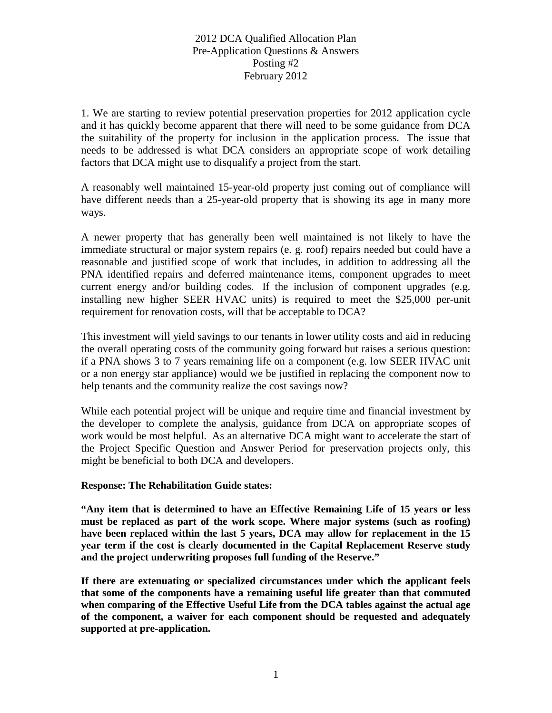1. We are starting to review potential preservation properties for 2012 application cycle and it has quickly become apparent that there will need to be some guidance from DCA the suitability of the property for inclusion in the application process. The issue that needs to be addressed is what DCA considers an appropriate scope of work detailing factors that DCA might use to disqualify a project from the start.

A reasonably well maintained 15-year-old property just coming out of compliance will have different needs than a 25-year-old property that is showing its age in many more ways.

A newer property that has generally been well maintained is not likely to have the immediate structural or major system repairs (e. g. roof) repairs needed but could have a reasonable and justified scope of work that includes, in addition to addressing all the PNA identified repairs and deferred maintenance items, component upgrades to meet current energy and/or building codes. If the inclusion of component upgrades (e.g. installing new higher SEER HVAC units) is required to meet the \$25,000 per-unit requirement for renovation costs, will that be acceptable to DCA?

This investment will yield savings to our tenants in lower utility costs and aid in reducing the overall operating costs of the community going forward but raises a serious question: if a PNA shows 3 to 7 years remaining life on a component (e.g. low SEER HVAC unit or a non energy star appliance) would we be justified in replacing the component now to help tenants and the community realize the cost savings now?

While each potential project will be unique and require time and financial investment by the developer to complete the analysis, guidance from DCA on appropriate scopes of work would be most helpful. As an alternative DCA might want to accelerate the start of the Project Specific Question and Answer Period for preservation projects only, this might be beneficial to both DCA and developers.

#### **Response: The Rehabilitation Guide states:**

**"Any item that is determined to have an Effective Remaining Life of 15 years or less must be replaced as part of the work scope. Where major systems (such as roofing) have been replaced within the last 5 years, DCA may allow for replacement in the 15 year term if the cost is clearly documented in the Capital Replacement Reserve study and the project underwriting proposes full funding of the Reserve."**

**If there are extenuating or specialized circumstances under which the applicant feels that some of the components have a remaining useful life greater than that commuted when comparing of the Effective Useful Life from the DCA tables against the actual age of the component, a waiver for each component should be requested and adequately supported at pre-application.**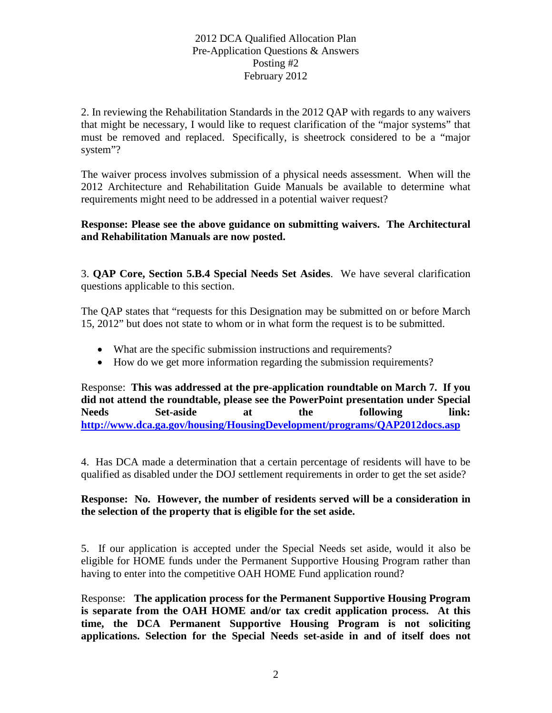2. In reviewing the Rehabilitation Standards in the 2012 QAP with regards to any waivers that might be necessary, I would like to request clarification of the "major systems" that must be removed and replaced. Specifically, is sheetrock considered to be a "major system"?

The waiver process involves submission of a physical needs assessment. When will the 2012 Architecture and Rehabilitation Guide Manuals be available to determine what requirements might need to be addressed in a potential waiver request?

**Response: Please see the above guidance on submitting waivers. The Architectural and Rehabilitation Manuals are now posted.**

3. **QAP Core, Section 5.B.4 Special Needs Set Asides**. We have several clarification questions applicable to this section.

The QAP states that "requests for this Designation may be submitted on or before March 15, 2012" but does not state to whom or in what form the request is to be submitted.

- What are the specific submission instructions and requirements?
- How do we get more information regarding the submission requirements?

Response: **This was addressed at the pre-application roundtable on March 7. If you did not attend the roundtable, please see the PowerPoint presentation under Special Needs Set-aside at the following link: <http://www.dca.ga.gov/housing/HousingDevelopment/programs/QAP2012docs.asp>**

4. Has DCA made a determination that a certain percentage of residents will have to be qualified as disabled under the DOJ settlement requirements in order to get the set aside?

# **Response: No. However, the number of residents served will be a consideration in the selection of the property that is eligible for the set aside.**

5. If our application is accepted under the Special Needs set aside, would it also be eligible for HOME funds under the Permanent Supportive Housing Program rather than having to enter into the competitive OAH HOME Fund application round?

Response: **The application process for the Permanent Supportive Housing Program is separate from the OAH HOME and/or tax credit application process. At this time, the DCA Permanent Supportive Housing Program is not soliciting applications. Selection for the Special Needs set-aside in and of itself does not**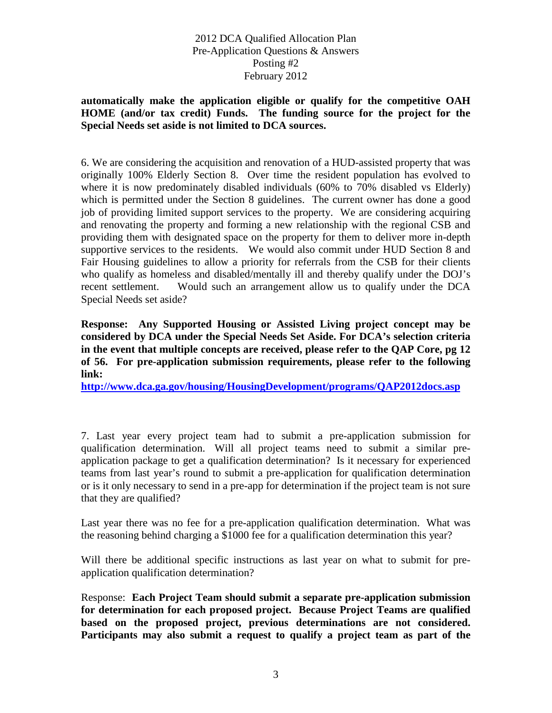## **automatically make the application eligible or qualify for the competitive OAH HOME (and/or tax credit) Funds. The funding source for the project for the Special Needs set aside is not limited to DCA sources.**

6. We are considering the acquisition and renovation of a HUD-assisted property that was originally 100% Elderly Section 8. Over time the resident population has evolved to where it is now predominately disabled individuals (60% to 70% disabled vs Elderly) which is permitted under the Section 8 guidelines. The current owner has done a good job of providing limited support services to the property. We are considering acquiring and renovating the property and forming a new relationship with the regional CSB and providing them with designated space on the property for them to deliver more in-depth supportive services to the residents. We would also commit under HUD Section 8 and Fair Housing guidelines to allow a priority for referrals from the CSB for their clients who qualify as homeless and disabled/mentally ill and thereby qualify under the DOJ's recent settlement. Would such an arrangement allow us to qualify under the DCA Special Needs set aside?

**Response: Any Supported Housing or Assisted Living project concept may be considered by DCA under the Special Needs Set Aside. For DCA's selection criteria in the event that multiple concepts are received, please refer to the QAP Core, pg 12 of 56. For pre-application submission requirements, please refer to the following link:** 

**<http://www.dca.ga.gov/housing/HousingDevelopment/programs/QAP2012docs.asp>**

7. Last year every project team had to submit a pre-application submission for qualification determination. Will all project teams need to submit a similar preapplication package to get a qualification determination? Is it necessary for experienced teams from last year's round to submit a pre-application for qualification determination or is it only necessary to send in a pre-app for determination if the project team is not sure that they are qualified?

Last year there was no fee for a pre-application qualification determination. What was the reasoning behind charging a \$1000 fee for a qualification determination this year?

Will there be additional specific instructions as last year on what to submit for preapplication qualification determination?

Response: **Each Project Team should submit a separate pre-application submission for determination for each proposed project. Because Project Teams are qualified based on the proposed project, previous determinations are not considered. Participants may also submit a request to qualify a project team as part of the**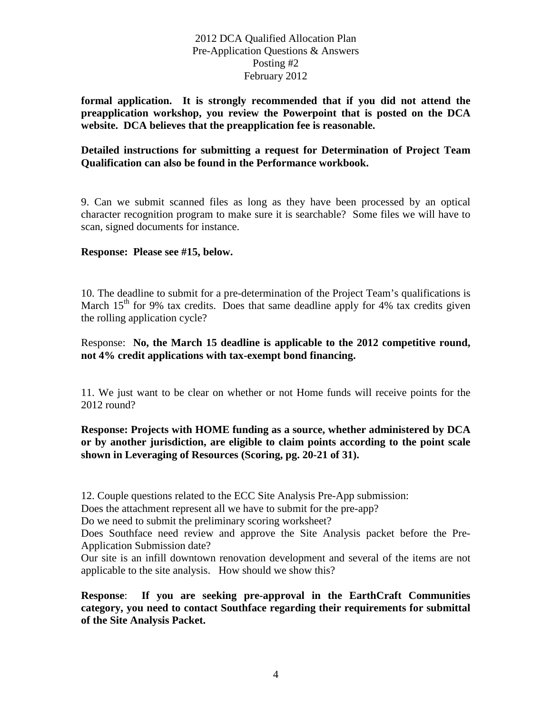**formal application. It is strongly recommended that if you did not attend the preapplication workshop, you review the Powerpoint that is posted on the DCA website. DCA believes that the preapplication fee is reasonable.**

## **Detailed instructions for submitting a request for Determination of Project Team Qualification can also be found in the Performance workbook.**

9. Can we submit scanned files as long as they have been processed by an optical character recognition program to make sure it is searchable? Some files we will have to scan, signed documents for instance.

## **Response: Please see #15, below.**

10. The deadline to submit for a pre-determination of the Project Team's qualifications is March  $15<sup>th</sup>$  for 9% tax credits. Does that same deadline apply for 4% tax credits given the rolling application cycle?

## Response: **No, the March 15 deadline is applicable to the 2012 competitive round, not 4% credit applications with tax-exempt bond financing.**

11. We just want to be clear on whether or not Home funds will receive points for the 2012 round?

## **Response: Projects with HOME funding as a source, whether administered by DCA or by another jurisdiction, are eligible to claim points according to the point scale shown in Leveraging of Resources (Scoring, pg. 20-21 of 31).**

12. Couple questions related to the ECC Site Analysis Pre-App submission:

Does the attachment represent all we have to submit for the pre-app?

Do we need to submit the preliminary scoring worksheet?

Does Southface need review and approve the Site Analysis packet before the Pre-Application Submission date?

Our site is an infill downtown renovation development and several of the items are not applicable to the site analysis. How should we show this?

**Response**: **If you are seeking pre-approval in the EarthCraft Communities category, you need to contact Southface regarding their requirements for submittal of the Site Analysis Packet.**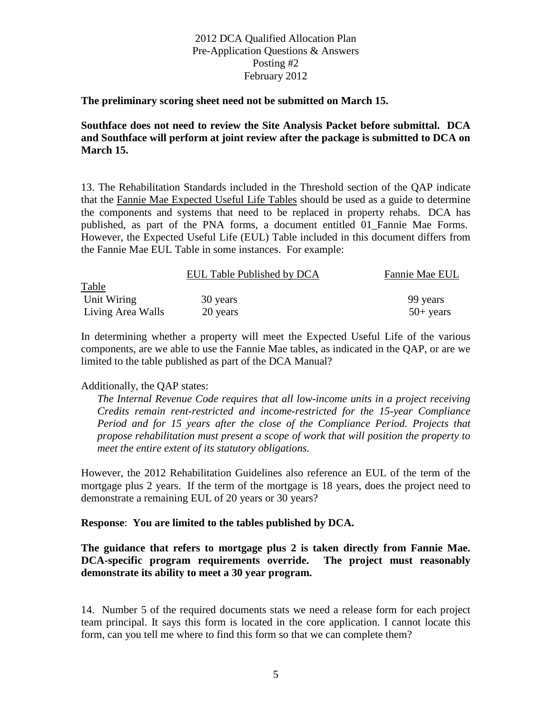#### **The preliminary scoring sheet need not be submitted on March 15.**

**Southface does not need to review the Site Analysis Packet before submittal. DCA and Southface will perform at joint review after the package is submitted to DCA on March 15.**

13. The Rehabilitation Standards included in the Threshold section of the QAP indicate that the Fannie Mae Expected Useful Life Tables should be used as a guide to determine the components and systems that need to be replaced in property rehabs. DCA has published, as part of the PNA forms, a document entitled 01\_Fannie Mae Forms. However, the Expected Useful Life (EUL) Table included in this document differs from the Fannie Mae EUL Table in some instances. For example:

|                   | EUL Table Published by DCA | Fannie Mae EUL |
|-------------------|----------------------------|----------------|
| <b>Table</b>      |                            |                |
| Unit Wiring       | 30 years                   | 99 years       |
| Living Area Walls | 20 years                   | $50+$ years    |

In determining whether a property will meet the Expected Useful Life of the various components, are we able to use the Fannie Mae tables, as indicated in the QAP, or are we limited to the table published as part of the DCA Manual?

#### Additionally, the QAP states:

*The Internal Revenue Code requires that all low-income units in a project receiving Credits remain rent-restricted and income-restricted for the 15-year Compliance Period and for 15 years after the close of the Compliance Period. Projects that propose rehabilitation must present a scope of work that will position the property to meet the entire extent of its statutory obligations.*

However, the 2012 Rehabilitation Guidelines also reference an EUL of the term of the mortgage plus 2 years. If the term of the mortgage is 18 years, does the project need to demonstrate a remaining EUL of 20 years or 30 years?

#### **Response**: **You are limited to the tables published by DCA.**

### **The guidance that refers to mortgage plus 2 is taken directly from Fannie Mae. DCA-specific program requirements override. The project must reasonably demonstrate its ability to meet a 30 year program.**

14. Number 5 of the required documents stats we need a release form for each project team principal. It says this form is located in the core application. I cannot locate this form, can you tell me where to find this form so that we can complete them?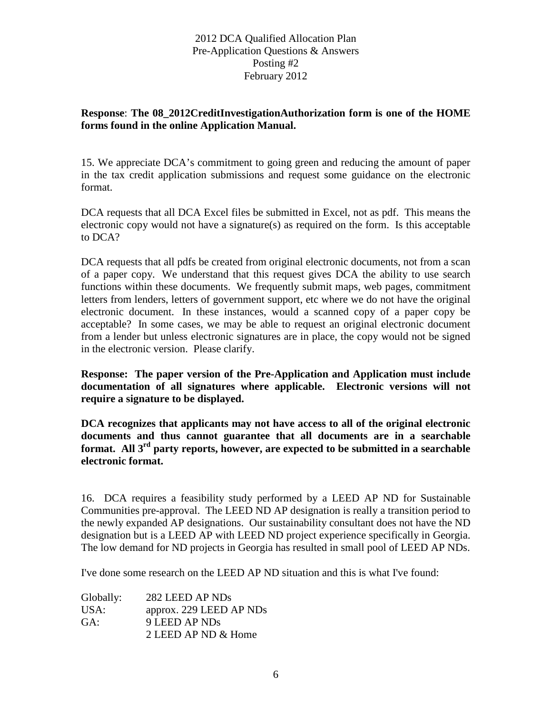# **Response**: **The 08\_2012CreditInvestigationAuthorization form is one of the HOME forms found in the online Application Manual.**

15. We appreciate DCA's commitment to going green and reducing the amount of paper in the tax credit application submissions and request some guidance on the electronic format.

DCA requests that all DCA Excel files be submitted in Excel, not as pdf. This means the electronic copy would not have a signature(s) as required on the form. Is this acceptable to DCA?

DCA requests that all pdfs be created from original electronic documents, not from a scan of a paper copy. We understand that this request gives DCA the ability to use search functions within these documents. We frequently submit maps, web pages, commitment letters from lenders, letters of government support, etc where we do not have the original electronic document. In these instances, would a scanned copy of a paper copy be acceptable? In some cases, we may be able to request an original electronic document from a lender but unless electronic signatures are in place, the copy would not be signed in the electronic version. Please clarify.

**Response: The paper version of the Pre-Application and Application must include documentation of all signatures where applicable. Electronic versions will not require a signature to be displayed.**

**DCA recognizes that applicants may not have access to all of the original electronic documents and thus cannot guarantee that all documents are in a searchable format. All 3rd party reports, however, are expected to be submitted in a searchable electronic format.**

16. DCA requires a feasibility study performed by a LEED AP ND for Sustainable Communities pre-approval. The LEED ND AP designation is really a transition period to the newly expanded AP designations. Our sustainability consultant does not have the ND designation but is a LEED AP with LEED ND project experience specifically in Georgia. The low demand for ND projects in Georgia has resulted in small pool of LEED AP NDs.

I've done some research on the LEED AP ND situation and this is what I've found:

| Globally: | 282 LEED AP NDs         |
|-----------|-------------------------|
| USA:      | approx. 229 LEED AP NDs |
| GA:       | 9 LEED AP NDs           |
|           | 2 LEED AP ND & Home     |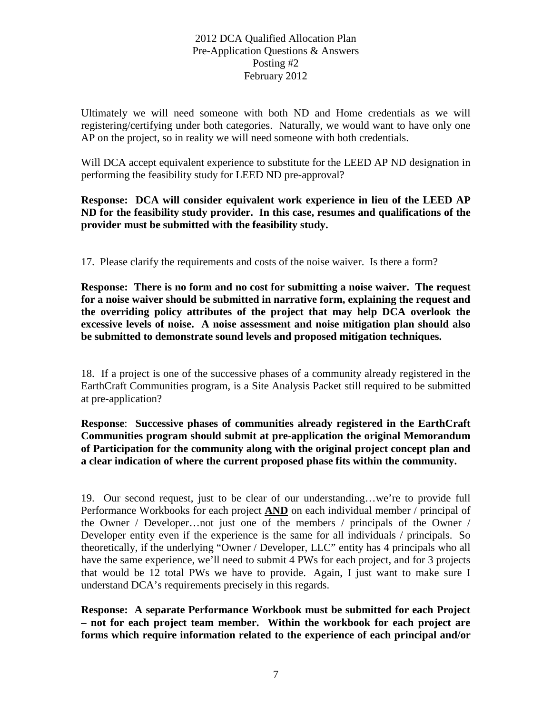Ultimately we will need someone with both ND and Home credentials as we will registering/certifying under both categories. Naturally, we would want to have only one AP on the project, so in reality we will need someone with both credentials.

Will DCA accept equivalent experience to substitute for the LEED AP ND designation in performing the feasibility study for LEED ND pre-approval?

**Response: DCA will consider equivalent work experience in lieu of the LEED AP ND for the feasibility study provider. In this case, resumes and qualifications of the provider must be submitted with the feasibility study.**

17. Please clarify the requirements and costs of the noise waiver. Is there a form?

**Response: There is no form and no cost for submitting a noise waiver. The request for a noise waiver should be submitted in narrative form, explaining the request and the overriding policy attributes of the project that may help DCA overlook the excessive levels of noise. A noise assessment and noise mitigation plan should also be submitted to demonstrate sound levels and proposed mitigation techniques.**

18. If a project is one of the successive phases of a community already registered in the EarthCraft Communities program, is a Site Analysis Packet still required to be submitted at pre-application?

**Response**: **Successive phases of communities already registered in the EarthCraft Communities program should submit at pre-application the original Memorandum of Participation for the community along with the original project concept plan and a clear indication of where the current proposed phase fits within the community.**

19.Our second request, just to be clear of our understanding…we're to provide full Performance Workbooks for each project **AND** on each individual member / principal of the Owner / Developer…not just one of the members / principals of the Owner / Developer entity even if the experience is the same for all individuals / principals. So theoretically, if the underlying "Owner / Developer, LLC" entity has 4 principals who all have the same experience, we'll need to submit 4 PWs for each project, and for 3 projects that would be 12 total PWs we have to provide. Again, I just want to make sure I understand DCA's requirements precisely in this regards.

**Response: A separate Performance Workbook must be submitted for each Project – not for each project team member. Within the workbook for each project are forms which require information related to the experience of each principal and/or**